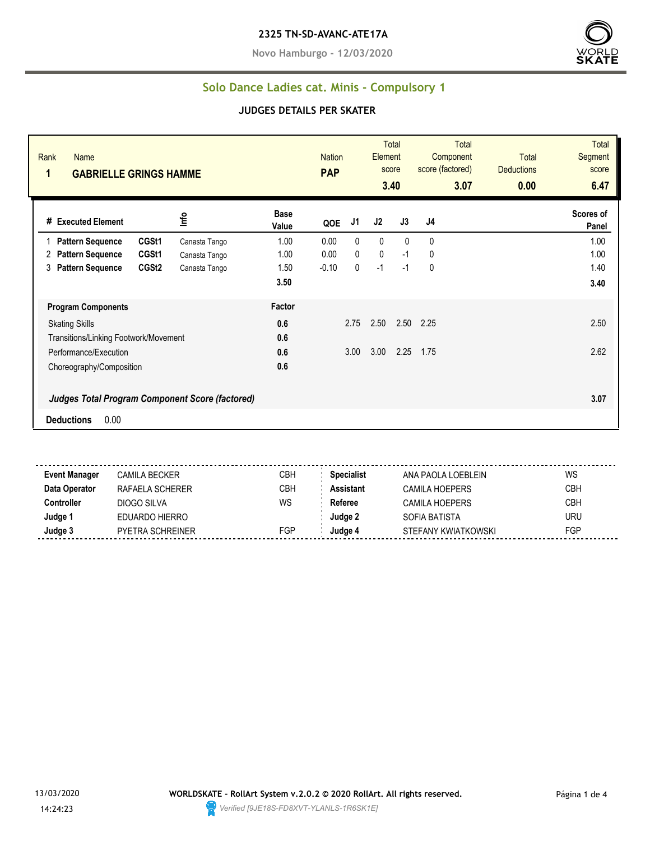**Novo Hamburgo - 12/03/2020**



#### **Solo Dance Ladies cat. Minis - Compulsory 1**

#### **JUDGES DETAILS PER SKATER**

| Rank<br>Name<br>1<br><b>GABRIELLE GRINGS HAMME</b>     |               |                      | <b>Nation</b><br><b>PAP</b> |      | <b>Element</b> | Total<br>score<br>3.40 | <b>Total</b><br>Component<br>score (factored)<br>3.07 | <b>Total</b><br><b>Deductions</b><br>0.00 | <b>Total</b><br>Segment<br>score<br>6.47 |
|--------------------------------------------------------|---------------|----------------------|-----------------------------|------|----------------|------------------------|-------------------------------------------------------|-------------------------------------------|------------------------------------------|
| # Executed Element                                     | Info          | <b>Base</b><br>Value | QOE                         | J1   | J2             | J3                     | J4                                                    |                                           | Scores of<br>Panel                       |
| CGSt1<br><b>Pattern Sequence</b>                       | Canasta Tango | 1.00                 | 0.00                        | 0    | $\mathbf 0$    | $\Omega$               | 0                                                     |                                           | 1.00                                     |
| CGSt1<br><b>Pattern Sequence</b><br>2                  | Canasta Tango | 1.00                 | 0.00                        | 0    | $\mathbf 0$    | $-1$                   | 0                                                     |                                           | 1.00                                     |
| CGSt <sub>2</sub><br><b>Pattern Sequence</b><br>3      | Canasta Tango | 1.50                 | $-0.10$                     | 0    | $-1$           | $-1$                   | 0                                                     |                                           | 1.40                                     |
|                                                        |               | 3.50                 |                             |      |                |                        |                                                       |                                           | 3.40                                     |
| <b>Program Components</b>                              |               | Factor               |                             |      |                |                        |                                                       |                                           |                                          |
| <b>Skating Skills</b>                                  |               | 0.6                  |                             | 2.75 | 2.50           | 2.50                   | 2.25                                                  |                                           | 2.50                                     |
| Transitions/Linking Footwork/Movement                  |               | 0.6                  |                             |      |                |                        |                                                       |                                           |                                          |
| Performance/Execution                                  |               | 0.6                  |                             | 3.00 | 3.00           | 2.25                   | 1.75                                                  |                                           | 2.62                                     |
| Choreography/Composition                               |               | 0.6                  |                             |      |                |                        |                                                       |                                           |                                          |
| <b>Judges Total Program Component Score (factored)</b> |               |                      |                             |      |                |                        |                                                       |                                           | 3.07                                     |
| 0.00<br><b>Deductions</b>                              |               |                      |                             |      |                |                        |                                                       |                                           |                                          |

**Event Manager** CAMILA BECKER CBH **Specialist** ANA PAOLA LOEBLEIN WS **Data Operator** RAFAELA SCHERER CBH **Assistant** CAMILA HOEPERS CBH **Controller** DIOGO SILVA WS Referee CAMILA HOEPERS CBH **Judge 1** EDUARDO HIERRO **Judge 2** SOFIA BATISTA URU **Judge 3** PYETRA SCHREINER FGP **Judge 4** STEFANY KWIATKOWSKI FGP

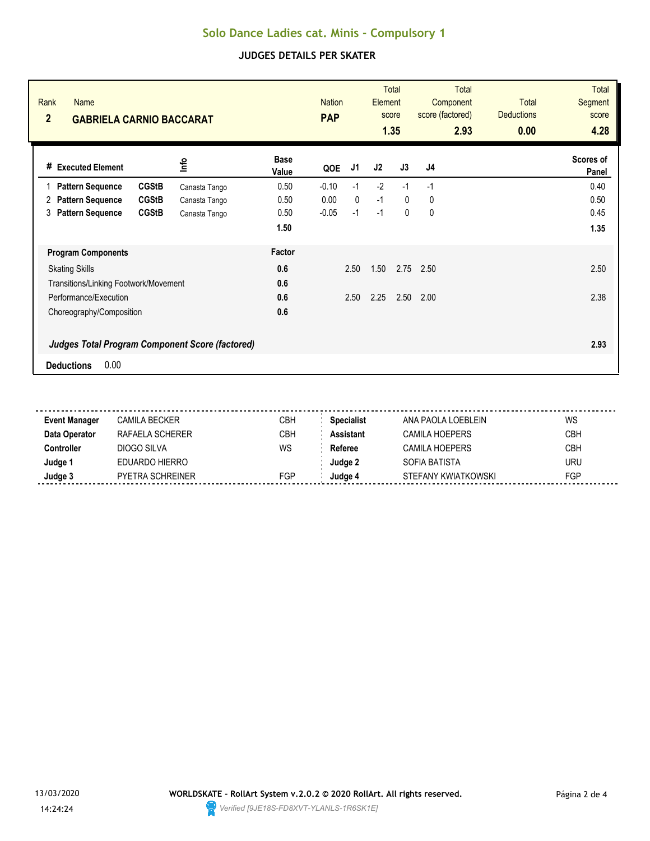# **Solo Dance Ladies cat. Minis - Compulsory 1**

### **JUDGES DETAILS PER SKATER**

| Rank<br><b>Name</b><br>$\overline{2}$<br><b>GABRIELA CARNIO BACCARAT</b> |                       | <b>Nation</b><br><b>PAP</b> |              | Element | <b>Total</b><br>score<br>1.35 | <b>Total</b><br>Component<br>score (factored)<br>2.93 | <b>Total</b><br><b>Deductions</b><br>0.00 | <b>Total</b><br><b>Segment</b><br>score<br>4.28 |
|--------------------------------------------------------------------------|-----------------------|-----------------------------|--------------|---------|-------------------------------|-------------------------------------------------------|-------------------------------------------|-------------------------------------------------|
| <u>nfo</u><br><b>Executed Element</b><br>#                               | <b>Base</b><br>Value  | QOE                         | J1           | J2      | J3                            | J4                                                    |                                           | Scores of<br>Panel                              |
| <b>CGStB</b><br><b>Pattern Sequence</b>                                  | 0.50<br>Canasta Tango | $-0.10$                     | $-1$         | $-2$    | $-1$                          | $-1$                                                  |                                           | 0.40                                            |
| <b>CGStB</b><br><b>Pattern Sequence</b><br>2                             | 0.50<br>Canasta Tango | 0.00                        | $\mathbf{0}$ | $-1$    | $\mathbf{0}$                  | 0                                                     |                                           | 0.50                                            |
| <b>Pattern Sequence</b><br><b>CGStB</b><br>3                             | 0.50<br>Canasta Tango | $-0.05$                     | $-1$         | $-1$    | 0                             | 0                                                     |                                           | 0.45                                            |
|                                                                          | 1.50                  |                             |              |         |                               |                                                       |                                           | 1.35                                            |
| <b>Program Components</b>                                                | Factor                |                             |              |         |                               |                                                       |                                           |                                                 |
| <b>Skating Skills</b>                                                    | 0.6                   |                             | 2.50         | 1.50    | 2.75                          | 2.50                                                  |                                           | 2.50                                            |
| Transitions/Linking Footwork/Movement                                    | 0.6                   |                             |              |         |                               |                                                       |                                           |                                                 |
| Performance/Execution                                                    | 0.6                   |                             | 2.50         | 2.25    | 2.50                          | 2.00                                                  |                                           | 2.38                                            |
| Choreography/Composition                                                 | 0.6                   |                             |              |         |                               |                                                       |                                           |                                                 |
| <b>Judges Total Program Component Score (factored)</b>                   |                       |                             |              |         |                               |                                                       |                                           | 2.93                                            |
| 0.00<br><b>Deductions</b>                                                |                       |                             |              |         |                               |                                                       |                                           |                                                 |

| <b>Event Manager</b> | CAMILA BECKER    | CBH | <b>Specialist</b> | ANA PAOLA LOEBLEIN  | WS         |
|----------------------|------------------|-----|-------------------|---------------------|------------|
| Data Operator        | RAFAELA SCHERER  | СВН | Assistant         | CAMILA HOEPERS      | <b>CBH</b> |
| :ontroller           | DIOGO SILVA      | WS  | Referee           | CAMILA HOEPERS      | <b>CBH</b> |
| Judge '              | EDUARDO HIERRO   |     | Judae 2           | SOFIA BATISTA       | URU        |
| Judge 3              | PYETRA SCHREINER | FGP | Judae 4           | STEFANY KWIATKOWSKI | FGP        |
|                      |                  |     |                   |                     |            |

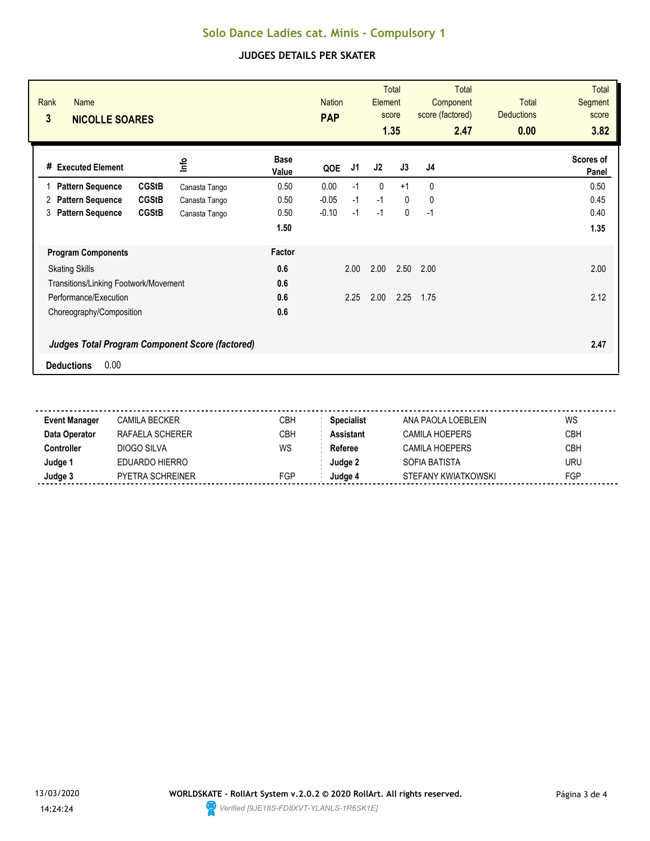# **Solo Dance Ladies cat. Minis - Compulsory 1**

### **JUDGES DETAILS PER SKATER**

| Rank<br><b>Name</b><br>3<br><b>NICOLLE SOARES</b>      |               |                      | <b>Nation</b><br><b>PAP</b> |      | Element      | <b>Total</b><br>score<br>1.35 | <b>Total</b><br>Component<br>score (factored)<br>2.47 | <b>Total</b><br><b>Deductions</b><br>0.00 | <b>Total</b><br><b>Segment</b><br>score<br>3.82 |
|--------------------------------------------------------|---------------|----------------------|-----------------------------|------|--------------|-------------------------------|-------------------------------------------------------|-------------------------------------------|-------------------------------------------------|
| <b>Executed Element</b><br>#                           | lnfo          | <b>Base</b><br>Value | QOE                         | J1   | J2           | J3                            | J4                                                    |                                           | Scores of<br>Panel                              |
| <b>CGStB</b><br><b>Pattern Sequence</b>                | Canasta Tango | 0.50                 | 0.00                        | $-1$ | $\mathbf{0}$ | $+1$                          | 0                                                     |                                           | 0.50                                            |
| <b>CGStB</b><br><b>Pattern Sequence</b><br>2           | Canasta Tango | 0.50                 | $-0.05$                     | $-1$ | $-1$         | $\mathbf{0}$                  | 0                                                     |                                           | 0.45                                            |
| <b>Pattern Sequence</b><br><b>CGStB</b><br>3           | Canasta Tango | 0.50                 | $-0.10$                     | $-1$ | $-1$         | $\mathbf 0$                   | $-1$                                                  |                                           | 0.40                                            |
|                                                        |               | 1.50                 |                             |      |              |                               |                                                       |                                           | 1.35                                            |
| <b>Program Components</b>                              |               | Factor               |                             |      |              |                               |                                                       |                                           |                                                 |
| <b>Skating Skills</b>                                  |               | 0.6                  |                             | 2.00 | 2.00         | 2.50                          | 2.00                                                  |                                           | 2.00                                            |
| Transitions/Linking Footwork/Movement                  |               | 0.6                  |                             |      |              |                               |                                                       |                                           |                                                 |
| Performance/Execution                                  |               | 0.6                  |                             | 2.25 | 2.00         | 2.25                          | 1.75                                                  |                                           | 2.12                                            |
| Choreography/Composition                               |               | 0.6                  |                             |      |              |                               |                                                       |                                           |                                                 |
| <b>Judges Total Program Component Score (factored)</b> |               |                      |                             |      |              |                               |                                                       |                                           | 2.47                                            |
| 0.00<br><b>Deductions</b>                              |               |                      |                             |      |              |                               |                                                       |                                           |                                                 |

| <b>Event Manager</b> | CAMILA BECKER    | <b>CBH</b> | <b>Specialist</b> | ANA PAOLA LOEBLEIN  | WS         |
|----------------------|------------------|------------|-------------------|---------------------|------------|
| Data Operator        | RAFAELA SCHERER  | СВН        | <b>\ssistant</b>  | CAMILA HOEPFRS      | <b>CBH</b> |
| :ontroller           | DIOGO SILVA      | WS         | Referee           | CAMILA HOEPERS      | CBH        |
| Judge 1              | EDUARDO HIERRO   |            | Judae 2           | SOFIA BATISTA       | <b>URU</b> |
| Judge 3              | PYETRA SCHREINER | FGP        | Judae 4           | STEFANY KWIATKOWSKI | FGP        |
|                      |                  |            |                   |                     |            |